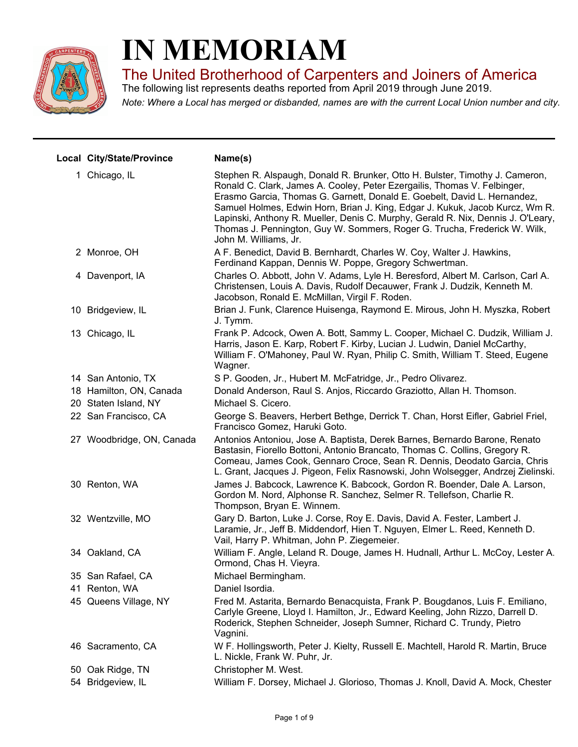

## **IN MEMORIAM**

The United Brotherhood of Carpenters and Joiners of America

The following list represents deaths reported from April 2019 through June 2019.

*Note: Where a Local has merged or disbanded, names are with the current Local Union number and city.*

| Local City/State/Province | Name(s)                                                                                                                                                                                                                                                                                                                                                                                                                                                                                                        |
|---------------------------|----------------------------------------------------------------------------------------------------------------------------------------------------------------------------------------------------------------------------------------------------------------------------------------------------------------------------------------------------------------------------------------------------------------------------------------------------------------------------------------------------------------|
| 1 Chicago, IL             | Stephen R. Alspaugh, Donald R. Brunker, Otto H. Bulster, Timothy J. Cameron,<br>Ronald C. Clark, James A. Cooley, Peter Ezergailis, Thomas V. Felbinger,<br>Erasmo Garcia, Thomas G. Garnett, Donald E. Goebelt, David L. Hernandez,<br>Samuel Holmes, Edwin Horn, Brian J. King, Edgar J. Kukuk, Jacob Kurcz, Wm R.<br>Lapinski, Anthony R. Mueller, Denis C. Murphy, Gerald R. Nix, Dennis J. O'Leary,<br>Thomas J. Pennington, Guy W. Sommers, Roger G. Trucha, Frederick W. Wilk,<br>John M. Williams, Jr. |
| 2 Monroe, OH              | A F. Benedict, David B. Bernhardt, Charles W. Coy, Walter J. Hawkins,<br>Ferdinand Kappan, Dennis W. Poppe, Gregory Schwertman.                                                                                                                                                                                                                                                                                                                                                                                |
| 4 Davenport, IA           | Charles O. Abbott, John V. Adams, Lyle H. Beresford, Albert M. Carlson, Carl A.<br>Christensen, Louis A. Davis, Rudolf Decauwer, Frank J. Dudzik, Kenneth M.<br>Jacobson, Ronald E. McMillan, Virgil F. Roden.                                                                                                                                                                                                                                                                                                 |
| 10 Bridgeview, IL         | Brian J. Funk, Clarence Huisenga, Raymond E. Mirous, John H. Myszka, Robert<br>J. Tymm.                                                                                                                                                                                                                                                                                                                                                                                                                        |
| 13 Chicago, IL            | Frank P. Adcock, Owen A. Bott, Sammy L. Cooper, Michael C. Dudzik, William J.<br>Harris, Jason E. Karp, Robert F. Kirby, Lucian J. Ludwin, Daniel McCarthy,<br>William F. O'Mahoney, Paul W. Ryan, Philip C. Smith, William T. Steed, Eugene<br>Wagner.                                                                                                                                                                                                                                                        |
| 14 San Antonio, TX        | S P. Gooden, Jr., Hubert M. McFatridge, Jr., Pedro Olivarez.                                                                                                                                                                                                                                                                                                                                                                                                                                                   |
| 18 Hamilton, ON, Canada   | Donald Anderson, Raul S. Anjos, Riccardo Graziotto, Allan H. Thomson.                                                                                                                                                                                                                                                                                                                                                                                                                                          |
| 20 Staten Island, NY      | Michael S. Cicero.                                                                                                                                                                                                                                                                                                                                                                                                                                                                                             |
| 22 San Francisco, CA      | George S. Beavers, Herbert Bethge, Derrick T. Chan, Horst Eifler, Gabriel Friel,<br>Francisco Gomez, Haruki Goto.                                                                                                                                                                                                                                                                                                                                                                                              |
| 27 Woodbridge, ON, Canada | Antonios Antoniou, Jose A. Baptista, Derek Barnes, Bernardo Barone, Renato<br>Bastasin, Fiorello Bottoni, Antonio Brancato, Thomas C. Collins, Gregory R.<br>Comeau, James Cook, Gennaro Croce, Sean R. Dennis, Deodato Garcia, Chris<br>L. Grant, Jacques J. Pigeon, Felix Rasnowski, John Wolsegger, Andrzej Zielinski.                                                                                                                                                                                      |
| 30 Renton, WA             | James J. Babcock, Lawrence K. Babcock, Gordon R. Boender, Dale A. Larson,<br>Gordon M. Nord, Alphonse R. Sanchez, Selmer R. Tellefson, Charlie R.<br>Thompson, Bryan E. Winnem.                                                                                                                                                                                                                                                                                                                                |
| 32 Wentzville, MO         | Gary D. Barton, Luke J. Corse, Roy E. Davis, David A. Fester, Lambert J.<br>Laramie, Jr., Jeff B. Middendorf, Hien T. Nguyen, Elmer L. Reed, Kenneth D.<br>Vail, Harry P. Whitman, John P. Ziegemeier.                                                                                                                                                                                                                                                                                                         |
| 34 Oakland, CA            | William F. Angle, Leland R. Douge, James H. Hudnall, Arthur L. McCoy, Lester A.<br>Ormond, Chas H. Vieyra.                                                                                                                                                                                                                                                                                                                                                                                                     |
| 35 San Rafael, CA         | Michael Bermingham.                                                                                                                                                                                                                                                                                                                                                                                                                                                                                            |
| 41 Renton, WA             | Daniel Isordia.                                                                                                                                                                                                                                                                                                                                                                                                                                                                                                |
| 45 Queens Village, NY     | Fred M. Astarita, Bernardo Benacquista, Frank P. Bougdanos, Luis F. Emiliano,<br>Carlyle Greene, Lloyd I. Hamilton, Jr., Edward Keeling, John Rizzo, Darrell D.<br>Roderick, Stephen Schneider, Joseph Sumner, Richard C. Trundy, Pietro<br>Vagnini.                                                                                                                                                                                                                                                           |
| 46 Sacramento, CA         | W F. Hollingsworth, Peter J. Kielty, Russell E. Machtell, Harold R. Martin, Bruce<br>L. Nickle, Frank W. Puhr, Jr.                                                                                                                                                                                                                                                                                                                                                                                             |
| 50 Oak Ridge, TN          | Christopher M. West.                                                                                                                                                                                                                                                                                                                                                                                                                                                                                           |
| 54 Bridgeview, IL         | William F. Dorsey, Michael J. Glorioso, Thomas J. Knoll, David A. Mock, Chester                                                                                                                                                                                                                                                                                                                                                                                                                                |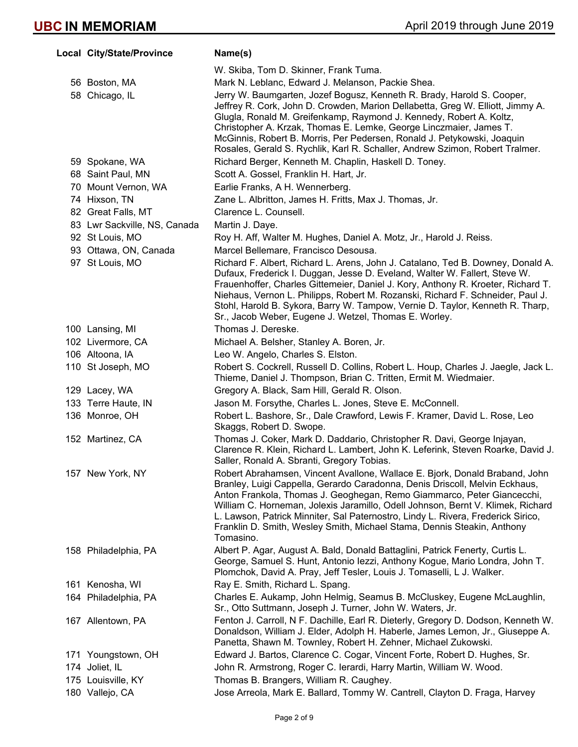| Local City/State/Province    | Name(s)                                                                                                                                                                                                                                                                                                                                                                                                                                                                                             |
|------------------------------|-----------------------------------------------------------------------------------------------------------------------------------------------------------------------------------------------------------------------------------------------------------------------------------------------------------------------------------------------------------------------------------------------------------------------------------------------------------------------------------------------------|
|                              | W. Skiba, Tom D. Skinner, Frank Tuma.                                                                                                                                                                                                                                                                                                                                                                                                                                                               |
| 56 Boston, MA                | Mark N. Leblanc, Edward J. Melanson, Packie Shea.                                                                                                                                                                                                                                                                                                                                                                                                                                                   |
| 58 Chicago, IL               | Jerry W. Baumgarten, Jozef Bogusz, Kenneth R. Brady, Harold S. Cooper,<br>Jeffrey R. Cork, John D. Crowden, Marion Dellabetta, Greg W. Elliott, Jimmy A.<br>Glugla, Ronald M. Greifenkamp, Raymond J. Kennedy, Robert A. Koltz,<br>Christopher A. Krzak, Thomas E. Lemke, George Linczmaier, James T.<br>McGinnis, Robert B. Morris, Per Pedersen, Ronald J. Petykowski, Joaquin<br>Rosales, Gerald S. Rychlik, Karl R. Schaller, Andrew Szimon, Robert Tralmer.                                    |
| 59 Spokane, WA               | Richard Berger, Kenneth M. Chaplin, Haskell D. Toney.                                                                                                                                                                                                                                                                                                                                                                                                                                               |
| 68 Saint Paul, MN            | Scott A. Gossel, Franklin H. Hart, Jr.                                                                                                                                                                                                                                                                                                                                                                                                                                                              |
| 70 Mount Vernon, WA          | Earlie Franks, A H. Wennerberg.                                                                                                                                                                                                                                                                                                                                                                                                                                                                     |
| 74 Hixson, TN                | Zane L. Albritton, James H. Fritts, Max J. Thomas, Jr.                                                                                                                                                                                                                                                                                                                                                                                                                                              |
| 82 Great Falls, MT           | Clarence L. Counsell.                                                                                                                                                                                                                                                                                                                                                                                                                                                                               |
| 83 Lwr Sackville, NS, Canada | Martin J. Daye.                                                                                                                                                                                                                                                                                                                                                                                                                                                                                     |
| 92 St Louis, MO              | Roy H. Aff, Walter M. Hughes, Daniel A. Motz, Jr., Harold J. Reiss.                                                                                                                                                                                                                                                                                                                                                                                                                                 |
| 93 Ottawa, ON, Canada        | Marcel Bellemare, Francisco Desousa.                                                                                                                                                                                                                                                                                                                                                                                                                                                                |
| 97 St Louis, MO              | Richard F. Albert, Richard L. Arens, John J. Catalano, Ted B. Downey, Donald A.<br>Dufaux, Frederick I. Duggan, Jesse D. Eveland, Walter W. Fallert, Steve W.<br>Frauenhoffer, Charles Gittemeier, Daniel J. Kory, Anthony R. Kroeter, Richard T.<br>Niehaus, Vernon L. Philipps, Robert M. Rozanski, Richard F. Schneider, Paul J.<br>Stohl, Harold B. Sykora, Barry W. Tampow, Vernie D. Taylor, Kenneth R. Tharp,<br>Sr., Jacob Weber, Eugene J. Wetzel, Thomas E. Worley.                       |
| 100 Lansing, MI              | Thomas J. Dereske.                                                                                                                                                                                                                                                                                                                                                                                                                                                                                  |
| 102 Livermore, CA            | Michael A. Belsher, Stanley A. Boren, Jr.                                                                                                                                                                                                                                                                                                                                                                                                                                                           |
| 106 Altoona, IA              | Leo W. Angelo, Charles S. Elston.                                                                                                                                                                                                                                                                                                                                                                                                                                                                   |
| 110 St Joseph, MO            | Robert S. Cockrell, Russell D. Collins, Robert L. Houp, Charles J. Jaegle, Jack L.<br>Thieme, Daniel J. Thompson, Brian C. Tritten, Ermit M. Wiedmaier.                                                                                                                                                                                                                                                                                                                                             |
| 129 Lacey, WA                | Gregory A. Black, Sam Hill, Gerald R. Olson.                                                                                                                                                                                                                                                                                                                                                                                                                                                        |
| 133 Terre Haute, IN          | Jason M. Forsythe, Charles L. Jones, Steve E. McConnell.                                                                                                                                                                                                                                                                                                                                                                                                                                            |
| 136 Monroe, OH               | Robert L. Bashore, Sr., Dale Crawford, Lewis F. Kramer, David L. Rose, Leo<br>Skaggs, Robert D. Swope.                                                                                                                                                                                                                                                                                                                                                                                              |
| 152 Martinez, CA             | Thomas J. Coker, Mark D. Daddario, Christopher R. Davi, George Injayan,<br>Clarence R. Klein, Richard L. Lambert, John K. Leferink, Steven Roarke, David J.<br>Saller, Ronald A. Sbranti, Gregory Tobias.                                                                                                                                                                                                                                                                                           |
| 157 New York, NY             | Robert Abrahamsen, Vincent Avallone, Wallace E. Bjork, Donald Braband, John<br>Branley, Luigi Cappella, Gerardo Caradonna, Denis Driscoll, Melvin Eckhaus,<br>Anton Frankola, Thomas J. Geoghegan, Remo Giammarco, Peter Giancecchi,<br>William C. Horneman, Jolexis Jaramillo, Odell Johnson, Bernt V. Klimek, Richard<br>L. Lawson, Patrick Minniter, Sal Paternostro, Lindy L. Rivera, Frederick Sirico,<br>Franklin D. Smith, Wesley Smith, Michael Stama, Dennis Steakin, Anthony<br>Tomasino. |
| 158 Philadelphia, PA         | Albert P. Agar, August A. Bald, Donald Battaglini, Patrick Fenerty, Curtis L.<br>George, Samuel S. Hunt, Antonio lezzi, Anthony Kogue, Mario Londra, John T.<br>Plomchok, David A. Pray, Jeff Tesler, Louis J. Tomaselli, L J. Walker.                                                                                                                                                                                                                                                              |
| 161 Kenosha, WI              | Ray E. Smith, Richard L. Spang.                                                                                                                                                                                                                                                                                                                                                                                                                                                                     |
| 164 Philadelphia, PA         | Charles E. Aukamp, John Helmig, Seamus B. McCluskey, Eugene McLaughlin,<br>Sr., Otto Suttmann, Joseph J. Turner, John W. Waters, Jr.                                                                                                                                                                                                                                                                                                                                                                |
| 167 Allentown, PA            | Fenton J. Carroll, N F. Dachille, Earl R. Dieterly, Gregory D. Dodson, Kenneth W.<br>Donaldson, William J. Elder, Adolph H. Haberle, James Lemon, Jr., Giuseppe A.<br>Panetta, Shawn M. Townley, Robert H. Zehner, Michael Zukowski.                                                                                                                                                                                                                                                                |
| 171 Youngstown, OH           | Edward J. Bartos, Clarence C. Cogar, Vincent Forte, Robert D. Hughes, Sr.                                                                                                                                                                                                                                                                                                                                                                                                                           |
| 174 Joliet, IL               | John R. Armstrong, Roger C. Ierardi, Harry Martin, William W. Wood.                                                                                                                                                                                                                                                                                                                                                                                                                                 |
| 175 Louisville, KY           | Thomas B. Brangers, William R. Caughey.                                                                                                                                                                                                                                                                                                                                                                                                                                                             |
| 180 Vallejo, CA              | Jose Arreola, Mark E. Ballard, Tommy W. Cantrell, Clayton D. Fraga, Harvey                                                                                                                                                                                                                                                                                                                                                                                                                          |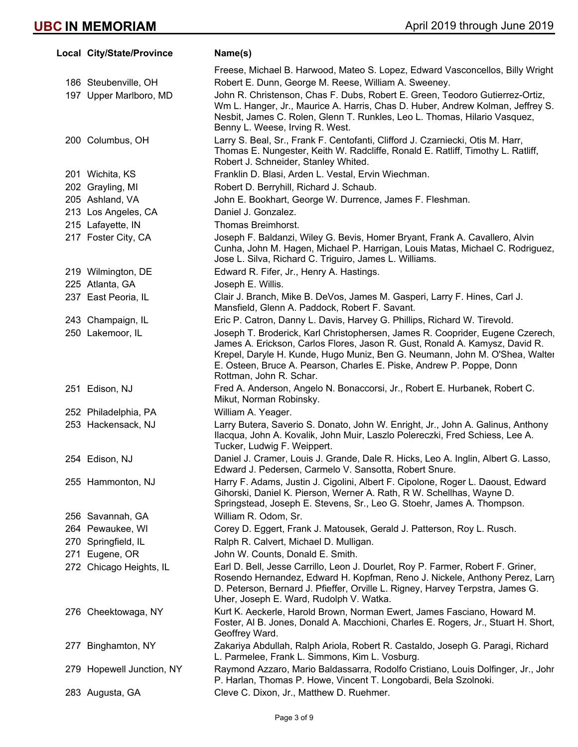| Local City/State/Province | Name(s)                                                                                                                                                                                                                                                                                                                                        |
|---------------------------|------------------------------------------------------------------------------------------------------------------------------------------------------------------------------------------------------------------------------------------------------------------------------------------------------------------------------------------------|
|                           | Freese, Michael B. Harwood, Mateo S. Lopez, Edward Vasconcellos, Billy Wright                                                                                                                                                                                                                                                                  |
| 186 Steubenville, OH      | Robert E. Dunn, George M. Reese, William A. Sweeney.                                                                                                                                                                                                                                                                                           |
| 197 Upper Marlboro, MD    | John R. Christenson, Chas F. Dubs, Robert E. Green, Teodoro Gutierrez-Ortiz,<br>Wm L. Hanger, Jr., Maurice A. Harris, Chas D. Huber, Andrew Kolman, Jeffrey S.<br>Nesbit, James C. Rolen, Glenn T. Runkles, Leo L. Thomas, Hilario Vasquez,<br>Benny L. Weese, Irving R. West.                                                                 |
| 200 Columbus, OH          | Larry S. Beal, Sr., Frank F. Centofanti, Clifford J. Czarniecki, Otis M. Harr,<br>Thomas E. Nungester, Keith W. Radcliffe, Ronald E. Ratliff, Timothy L. Ratliff,<br>Robert J. Schneider, Stanley Whited.                                                                                                                                      |
| 201 Wichita, KS           | Franklin D. Blasi, Arden L. Vestal, Ervin Wiechman.                                                                                                                                                                                                                                                                                            |
| 202 Grayling, MI          | Robert D. Berryhill, Richard J. Schaub.                                                                                                                                                                                                                                                                                                        |
| 205 Ashland, VA           | John E. Bookhart, George W. Durrence, James F. Fleshman.                                                                                                                                                                                                                                                                                       |
| 213 Los Angeles, CA       | Daniel J. Gonzalez.                                                                                                                                                                                                                                                                                                                            |
| 215 Lafayette, IN         | Thomas Breimhorst.                                                                                                                                                                                                                                                                                                                             |
| 217 Foster City, CA       | Joseph F. Baldanzi, Wiley G. Bevis, Homer Bryant, Frank A. Cavallero, Alvin<br>Cunha, John M. Hagen, Michael P. Harrigan, Louis Matas, Michael C. Rodriguez,<br>Jose L. Silva, Richard C. Triguiro, James L. Williams.                                                                                                                         |
| 219 Wilmington, DE        | Edward R. Fifer, Jr., Henry A. Hastings.                                                                                                                                                                                                                                                                                                       |
| 225 Atlanta, GA           | Joseph E. Willis.                                                                                                                                                                                                                                                                                                                              |
| 237 East Peoria, IL       | Clair J. Branch, Mike B. DeVos, James M. Gasperi, Larry F. Hines, Carl J.<br>Mansfield, Glenn A. Paddock, Robert F. Savant.                                                                                                                                                                                                                    |
| 243 Champaign, IL         | Eric P. Catron, Danny L. Davis, Harvey G. Phillips, Richard W. Tirevold.                                                                                                                                                                                                                                                                       |
| 250 Lakemoor, IL          | Joseph T. Broderick, Karl Christophersen, James R. Cooprider, Eugene Czerech,<br>James A. Erickson, Carlos Flores, Jason R. Gust, Ronald A. Kamysz, David R.<br>Krepel, Daryle H. Kunde, Hugo Muniz, Ben G. Neumann, John M. O'Shea, Walter<br>E. Osteen, Bruce A. Pearson, Charles E. Piske, Andrew P. Poppe, Donn<br>Rottman, John R. Schar. |
| 251 Edison, NJ            | Fred A. Anderson, Angelo N. Bonaccorsi, Jr., Robert E. Hurbanek, Robert C.<br>Mikut, Norman Robinsky.                                                                                                                                                                                                                                          |
| 252 Philadelphia, PA      | William A. Yeager.                                                                                                                                                                                                                                                                                                                             |
| 253 Hackensack, NJ        | Larry Butera, Saverio S. Donato, John W. Enright, Jr., John A. Galinus, Anthony<br>Ilacqua, John A. Kovalik, John Muir, Laszlo Polereczki, Fred Schiess, Lee A.<br>Tucker, Ludwig F. Weippert.                                                                                                                                                 |
| 254 Edison, NJ            | Daniel J. Cramer, Louis J. Grande, Dale R. Hicks, Leo A. Inglin, Albert G. Lasso,<br>Edward J. Pedersen, Carmelo V. Sansotta, Robert Snure.                                                                                                                                                                                                    |
| 255 Hammonton, NJ         | Harry F. Adams, Justin J. Cigolini, Albert F. Cipolone, Roger L. Daoust, Edward<br>Gihorski, Daniel K. Pierson, Werner A. Rath, R W. Schellhas, Wayne D.<br>Springstead, Joseph E. Stevens, Sr., Leo G. Stoehr, James A. Thompson.                                                                                                             |
| 256 Savannah, GA          | William R. Odom, Sr.                                                                                                                                                                                                                                                                                                                           |
| 264 Pewaukee, WI          | Corey D. Eggert, Frank J. Matousek, Gerald J. Patterson, Roy L. Rusch.                                                                                                                                                                                                                                                                         |
| 270 Springfield, IL       | Ralph R. Calvert, Michael D. Mulligan.                                                                                                                                                                                                                                                                                                         |
| 271 Eugene, OR            | John W. Counts, Donald E. Smith.                                                                                                                                                                                                                                                                                                               |
| 272 Chicago Heights, IL   | Earl D. Bell, Jesse Carrillo, Leon J. Dourlet, Roy P. Farmer, Robert F. Griner,<br>Rosendo Hernandez, Edward H. Kopfman, Reno J. Nickele, Anthony Perez, Larry<br>D. Peterson, Bernard J. Pfieffer, Orville L. Rigney, Harvey Terpstra, James G.<br>Uher, Joseph E. Ward, Rudolph V. Watka.                                                    |
| 276 Cheektowaga, NY       | Kurt K. Aeckerle, Harold Brown, Norman Ewert, James Fasciano, Howard M.<br>Foster, Al B. Jones, Donald A. Macchioni, Charles E. Rogers, Jr., Stuart H. Short,<br>Geoffrey Ward.                                                                                                                                                                |
| 277 Binghamton, NY        | Zakariya Abdullah, Ralph Ariola, Robert R. Castaldo, Joseph G. Paragi, Richard<br>L. Parmelee, Frank L. Simmons, Kim L. Vosburg.                                                                                                                                                                                                               |
| 279 Hopewell Junction, NY | Raymond Azzaro, Mario Baldassarra, Rodolfo Cristiano, Louis Dolfinger, Jr., Johr<br>P. Harlan, Thomas P. Howe, Vincent T. Longobardi, Bela Szolnoki.                                                                                                                                                                                           |
| 283 Augusta, GA           | Cleve C. Dixon, Jr., Matthew D. Ruehmer.                                                                                                                                                                                                                                                                                                       |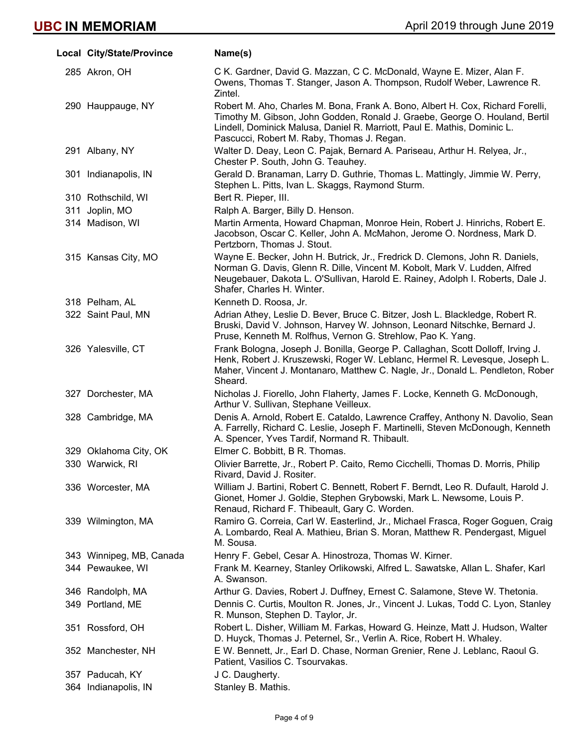| Local City/State/Province | Name(s)                                                                                                                                                                                                                                                                                 |
|---------------------------|-----------------------------------------------------------------------------------------------------------------------------------------------------------------------------------------------------------------------------------------------------------------------------------------|
| 285 Akron, OH             | C K. Gardner, David G. Mazzan, C C. McDonald, Wayne E. Mizer, Alan F.<br>Owens, Thomas T. Stanger, Jason A. Thompson, Rudolf Weber, Lawrence R.<br>Zintel.                                                                                                                              |
| 290 Hauppauge, NY         | Robert M. Aho, Charles M. Bona, Frank A. Bono, Albert H. Cox, Richard Forelli,<br>Timothy M. Gibson, John Godden, Ronald J. Graebe, George O. Houland, Bertil<br>Lindell, Dominick Malusa, Daniel R. Marriott, Paul E. Mathis, Dominic L.<br>Pascucci, Robert M. Raby, Thomas J. Regan. |
| 291 Albany, NY            | Walter D. Deay, Leon C. Pajak, Bernard A. Pariseau, Arthur H. Relyea, Jr.,<br>Chester P. South, John G. Teauhey.                                                                                                                                                                        |
| 301 Indianapolis, IN      | Gerald D. Branaman, Larry D. Guthrie, Thomas L. Mattingly, Jimmie W. Perry,<br>Stephen L. Pitts, Ivan L. Skaggs, Raymond Sturm.                                                                                                                                                         |
| 310 Rothschild, WI        | Bert R. Pieper, III.                                                                                                                                                                                                                                                                    |
| 311 Joplin, MO            | Ralph A. Barger, Billy D. Henson.                                                                                                                                                                                                                                                       |
| 314 Madison, WI           | Martin Armenta, Howard Chapman, Monroe Hein, Robert J. Hinrichs, Robert E.<br>Jacobson, Oscar C. Keller, John A. McMahon, Jerome O. Nordness, Mark D.<br>Pertzborn, Thomas J. Stout.                                                                                                    |
| 315 Kansas City, MO       | Wayne E. Becker, John H. Butrick, Jr., Fredrick D. Clemons, John R. Daniels,<br>Norman G. Davis, Glenn R. Dille, Vincent M. Kobolt, Mark V. Ludden, Alfred<br>Neugebauer, Dakota L. O'Sullivan, Harold E. Rainey, Adolph I. Roberts, Dale J.<br>Shafer, Charles H. Winter.              |
| 318 Pelham, AL            | Kenneth D. Roosa, Jr.                                                                                                                                                                                                                                                                   |
| 322 Saint Paul, MN        | Adrian Athey, Leslie D. Bever, Bruce C. Bitzer, Josh L. Blackledge, Robert R.<br>Bruski, David V. Johnson, Harvey W. Johnson, Leonard Nitschke, Bernard J.<br>Pruse, Kenneth M. Rolfhus, Vernon G. Strehlow, Pao K. Yang.                                                               |
| 326 Yalesville, CT        | Frank Bologna, Joseph J. Bonilla, George P. Callaghan, Scott Dolloff, Irving J.<br>Henk, Robert J. Kruszewski, Roger W. Leblanc, Hermel R. Levesque, Joseph L.<br>Maher, Vincent J. Montanaro, Matthew C. Nagle, Jr., Donald L. Pendleton, Rober<br>Sheard.                             |
| 327 Dorchester, MA        | Nicholas J. Fiorello, John Flaherty, James F. Locke, Kenneth G. McDonough,<br>Arthur V. Sullivan, Stephane Veilleux.                                                                                                                                                                    |
| 328 Cambridge, MA         | Denis A. Arnold, Robert E. Cataldo, Lawrence Craffey, Anthony N. Davolio, Sean<br>A. Farrelly, Richard C. Leslie, Joseph F. Martinelli, Steven McDonough, Kenneth<br>A. Spencer, Yves Tardif, Normand R. Thibault.                                                                      |
| 329 Oklahoma City, OK     | Elmer C. Bobbitt, B R. Thomas.                                                                                                                                                                                                                                                          |
| 330 Warwick, RI           | Olivier Barrette, Jr., Robert P. Caito, Remo Cicchelli, Thomas D. Morris, Philip<br>Rivard, David J. Rositer.                                                                                                                                                                           |
| 336 Worcester, MA         | William J. Bartini, Robert C. Bennett, Robert F. Berndt, Leo R. Dufault, Harold J.<br>Gionet, Homer J. Goldie, Stephen Grybowski, Mark L. Newsome, Louis P.<br>Renaud, Richard F. Thibeault, Gary C. Worden.                                                                            |
| 339 Wilmington, MA        | Ramiro G. Correia, Carl W. Easterlind, Jr., Michael Frasca, Roger Goguen, Craig<br>A. Lombardo, Real A. Mathieu, Brian S. Moran, Matthew R. Pendergast, Miguel<br>M. Sousa.                                                                                                             |
| 343 Winnipeg, MB, Canada  | Henry F. Gebel, Cesar A. Hinostroza, Thomas W. Kirner.                                                                                                                                                                                                                                  |
| 344 Pewaukee, WI          | Frank M. Kearney, Stanley Orlikowski, Alfred L. Sawatske, Allan L. Shafer, Karl<br>A. Swanson.                                                                                                                                                                                          |
| 346 Randolph, MA          | Arthur G. Davies, Robert J. Duffney, Ernest C. Salamone, Steve W. Thetonia.                                                                                                                                                                                                             |
| 349 Portland, ME          | Dennis C. Curtis, Moulton R. Jones, Jr., Vincent J. Lukas, Todd C. Lyon, Stanley<br>R. Munson, Stephen D. Taylor, Jr.                                                                                                                                                                   |
| 351 Rossford, OH          | Robert L. Disher, William M. Farkas, Howard G. Heinze, Matt J. Hudson, Walter<br>D. Huyck, Thomas J. Peternel, Sr., Verlin A. Rice, Robert H. Whaley.                                                                                                                                   |
| 352 Manchester, NH        | E W. Bennett, Jr., Earl D. Chase, Norman Grenier, Rene J. Leblanc, Raoul G.<br>Patient, Vasilios C. Tsourvakas.                                                                                                                                                                         |
| 357 Paducah, KY           | J C. Daugherty.                                                                                                                                                                                                                                                                         |
| 364 Indianapolis, IN      | Stanley B. Mathis.                                                                                                                                                                                                                                                                      |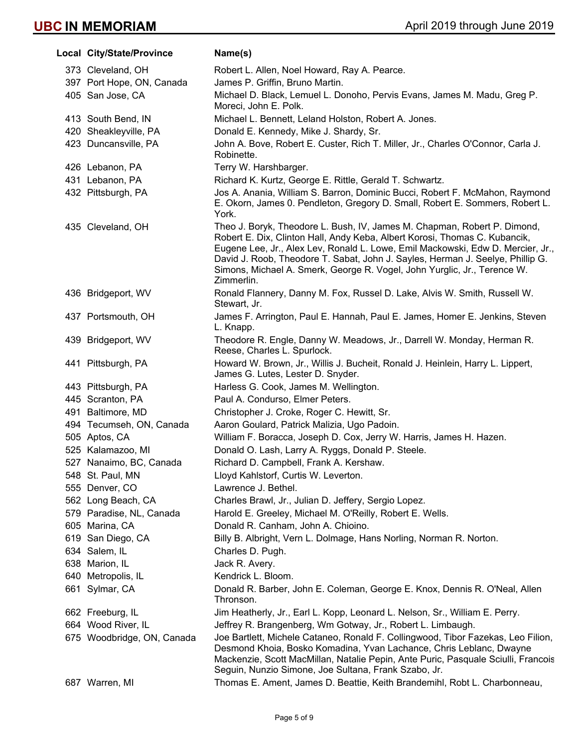| Local City/State/Province  | Name(s)                                                                                                                                                                                                                                                                                                                                                                                                               |
|----------------------------|-----------------------------------------------------------------------------------------------------------------------------------------------------------------------------------------------------------------------------------------------------------------------------------------------------------------------------------------------------------------------------------------------------------------------|
| 373 Cleveland, OH          | Robert L. Allen, Noel Howard, Ray A. Pearce.                                                                                                                                                                                                                                                                                                                                                                          |
| 397 Port Hope, ON, Canada  | James P. Griffin, Bruno Martin.                                                                                                                                                                                                                                                                                                                                                                                       |
| 405 San Jose, CA           | Michael D. Black, Lemuel L. Donoho, Pervis Evans, James M. Madu, Greg P.<br>Moreci, John E. Polk.                                                                                                                                                                                                                                                                                                                     |
| 413 South Bend, IN         | Michael L. Bennett, Leland Holston, Robert A. Jones.                                                                                                                                                                                                                                                                                                                                                                  |
| 420 Sheakleyville, PA      | Donald E. Kennedy, Mike J. Shardy, Sr.                                                                                                                                                                                                                                                                                                                                                                                |
| 423 Duncansville, PA       | John A. Bove, Robert E. Custer, Rich T. Miller, Jr., Charles O'Connor, Carla J.<br>Robinette.                                                                                                                                                                                                                                                                                                                         |
| 426 Lebanon, PA            | Terry W. Harshbarger.                                                                                                                                                                                                                                                                                                                                                                                                 |
| 431 Lebanon, PA            | Richard K. Kurtz, George E. Rittle, Gerald T. Schwartz.                                                                                                                                                                                                                                                                                                                                                               |
| 432 Pittsburgh, PA         | Jos A. Anania, William S. Barron, Dominic Bucci, Robert F. McMahon, Raymond<br>E. Okorn, James 0. Pendleton, Gregory D. Small, Robert E. Sommers, Robert L.<br>York.                                                                                                                                                                                                                                                  |
| 435 Cleveland, OH          | Theo J. Boryk, Theodore L. Bush, IV, James M. Chapman, Robert P. Dimond,<br>Robert E. Dix, Clinton Hall, Andy Keba, Albert Korosi, Thomas C. Kubancik,<br>Eugene Lee, Jr., Alex Lev, Ronald L. Lowe, Emil Mackowski, Edw D. Mercier, Jr.,<br>David J. Roob, Theodore T. Sabat, John J. Sayles, Herman J. Seelye, Phillip G.<br>Simons, Michael A. Smerk, George R. Vogel, John Yurglic, Jr., Terence W.<br>Zimmerlin. |
| 436 Bridgeport, WV         | Ronald Flannery, Danny M. Fox, Russel D. Lake, Alvis W. Smith, Russell W.<br>Stewart, Jr.                                                                                                                                                                                                                                                                                                                             |
| 437 Portsmouth, OH         | James F. Arrington, Paul E. Hannah, Paul E. James, Homer E. Jenkins, Steven<br>L. Knapp.                                                                                                                                                                                                                                                                                                                              |
| 439 Bridgeport, WV         | Theodore R. Engle, Danny W. Meadows, Jr., Darrell W. Monday, Herman R.<br>Reese, Charles L. Spurlock.                                                                                                                                                                                                                                                                                                                 |
| 441 Pittsburgh, PA         | Howard W. Brown, Jr., Willis J. Bucheit, Ronald J. Heinlein, Harry L. Lippert,<br>James G. Lutes, Lester D. Snyder.                                                                                                                                                                                                                                                                                                   |
| 443 Pittsburgh, PA         | Harless G. Cook, James M. Wellington.                                                                                                                                                                                                                                                                                                                                                                                 |
| 445 Scranton, PA           | Paul A. Condurso, Elmer Peters.                                                                                                                                                                                                                                                                                                                                                                                       |
| 491 Baltimore, MD          | Christopher J. Croke, Roger C. Hewitt, Sr.                                                                                                                                                                                                                                                                                                                                                                            |
| 494 Tecumseh, ON, Canada   | Aaron Goulard, Patrick Malizia, Ugo Padoin.                                                                                                                                                                                                                                                                                                                                                                           |
| 505 Aptos, CA              | William F. Boracca, Joseph D. Cox, Jerry W. Harris, James H. Hazen.                                                                                                                                                                                                                                                                                                                                                   |
| 525 Kalamazoo, MI          | Donald O. Lash, Larry A. Ryggs, Donald P. Steele.                                                                                                                                                                                                                                                                                                                                                                     |
| 527 Nanaimo, BC, Canada    | Richard D. Campbell, Frank A. Kershaw.                                                                                                                                                                                                                                                                                                                                                                                |
| 548 St. Paul, MN           | Lloyd Kahlstorf, Curtis W. Leverton.                                                                                                                                                                                                                                                                                                                                                                                  |
| 555 Denver, CO             | Lawrence J. Bethel.                                                                                                                                                                                                                                                                                                                                                                                                   |
| 562 Long Beach, CA         | Charles Brawl, Jr., Julian D. Jeffery, Sergio Lopez.                                                                                                                                                                                                                                                                                                                                                                  |
| 579 Paradise, NL, Canada   | Harold E. Greeley, Michael M. O'Reilly, Robert E. Wells.                                                                                                                                                                                                                                                                                                                                                              |
| 605 Marina, CA             | Donald R. Canham, John A. Chioino.                                                                                                                                                                                                                                                                                                                                                                                    |
| 619 San Diego, CA          | Billy B. Albright, Vern L. Dolmage, Hans Norling, Norman R. Norton.                                                                                                                                                                                                                                                                                                                                                   |
| 634 Salem, IL              | Charles D. Pugh.                                                                                                                                                                                                                                                                                                                                                                                                      |
| 638 Marion, IL             | Jack R. Avery.                                                                                                                                                                                                                                                                                                                                                                                                        |
| 640 Metropolis, IL         | Kendrick L. Bloom.                                                                                                                                                                                                                                                                                                                                                                                                    |
| 661 Sylmar, CA             | Donald R. Barber, John E. Coleman, George E. Knox, Dennis R. O'Neal, Allen<br>Thronson.                                                                                                                                                                                                                                                                                                                               |
| 662 Freeburg, IL           | Jim Heatherly, Jr., Earl L. Kopp, Leonard L. Nelson, Sr., William E. Perry.                                                                                                                                                                                                                                                                                                                                           |
| 664 Wood River, IL         | Jeffrey R. Brangenberg, Wm Gotway, Jr., Robert L. Limbaugh.                                                                                                                                                                                                                                                                                                                                                           |
| 675 Woodbridge, ON, Canada | Joe Bartlett, Michele Cataneo, Ronald F. Collingwood, Tibor Fazekas, Leo Filion,<br>Desmond Khoia, Bosko Komadina, Yvan Lachance, Chris Leblanc, Dwayne<br>Mackenzie, Scott MacMillan, Natalie Pepin, Ante Puric, Pasquale Sciulli, Francois<br>Seguin, Nunzio Simone, Joe Sultana, Frank Szabo, Jr.                                                                                                                  |
| 687 Warren, MI             | Thomas E. Ament, James D. Beattie, Keith Brandemihl, Robt L. Charbonneau,                                                                                                                                                                                                                                                                                                                                             |
|                            |                                                                                                                                                                                                                                                                                                                                                                                                                       |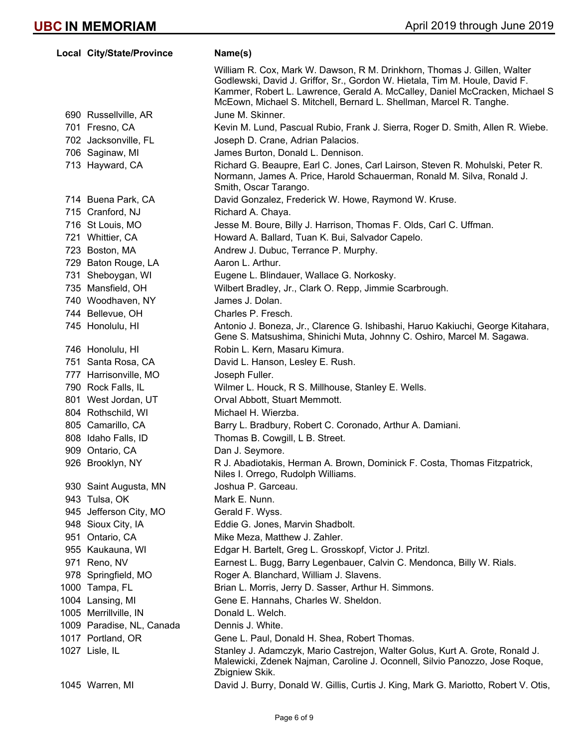| <b>Local City/State/Province</b> | Name(s)                                                                                                                                                                                                                                                                                                       |
|----------------------------------|---------------------------------------------------------------------------------------------------------------------------------------------------------------------------------------------------------------------------------------------------------------------------------------------------------------|
|                                  | William R. Cox, Mark W. Dawson, R M. Drinkhorn, Thomas J. Gillen, Walter<br>Godlewski, David J. Griffor, Sr., Gordon W. Hietala, Tim M. Houle, David F.<br>Kammer, Robert L. Lawrence, Gerald A. McCalley, Daniel McCracken, Michael S<br>McEown, Michael S. Mitchell, Bernard L. Shellman, Marcel R. Tanghe. |
| 690 Russellville, AR             | June M. Skinner.                                                                                                                                                                                                                                                                                              |
| 701 Fresno, CA                   | Kevin M. Lund, Pascual Rubio, Frank J. Sierra, Roger D. Smith, Allen R. Wiebe.                                                                                                                                                                                                                                |
| 702 Jacksonville, FL             | Joseph D. Crane, Adrian Palacios.                                                                                                                                                                                                                                                                             |
| 706 Saginaw, MI                  | James Burton, Donald L. Dennison.                                                                                                                                                                                                                                                                             |
| 713 Hayward, CA                  | Richard G. Beaupre, Earl C. Jones, Carl Lairson, Steven R. Mohulski, Peter R.<br>Normann, James A. Price, Harold Schauerman, Ronald M. Silva, Ronald J.<br>Smith, Oscar Tarango.                                                                                                                              |
| 714 Buena Park, CA               | David Gonzalez, Frederick W. Howe, Raymond W. Kruse.                                                                                                                                                                                                                                                          |
| 715 Cranford, NJ                 | Richard A. Chaya.                                                                                                                                                                                                                                                                                             |
| 716 St Louis, MO                 | Jesse M. Boure, Billy J. Harrison, Thomas F. Olds, Carl C. Uffman.                                                                                                                                                                                                                                            |
| 721 Whittier, CA                 | Howard A. Ballard, Tuan K. Bui, Salvador Capelo.                                                                                                                                                                                                                                                              |
| 723 Boston, MA                   | Andrew J. Dubuc, Terrance P. Murphy.                                                                                                                                                                                                                                                                          |
| 729 Baton Rouge, LA              | Aaron L. Arthur.                                                                                                                                                                                                                                                                                              |
| 731 Sheboygan, WI                | Eugene L. Blindauer, Wallace G. Norkosky.                                                                                                                                                                                                                                                                     |
| 735 Mansfield, OH                | Wilbert Bradley, Jr., Clark O. Repp, Jimmie Scarbrough.                                                                                                                                                                                                                                                       |
| 740 Woodhaven, NY                | James J. Dolan.                                                                                                                                                                                                                                                                                               |
| 744 Bellevue, OH                 | Charles P. Fresch.                                                                                                                                                                                                                                                                                            |
| 745 Honolulu, HI                 | Antonio J. Boneza, Jr., Clarence G. Ishibashi, Haruo Kakiuchi, George Kitahara,<br>Gene S. Matsushima, Shinichi Muta, Johnny C. Oshiro, Marcel M. Sagawa.                                                                                                                                                     |
| 746 Honolulu, HI                 | Robin L. Kern, Masaru Kimura.                                                                                                                                                                                                                                                                                 |
| 751 Santa Rosa, CA               | David L. Hanson, Lesley E. Rush.                                                                                                                                                                                                                                                                              |
| 777 Harrisonville, MO            | Joseph Fuller.                                                                                                                                                                                                                                                                                                |
| 790 Rock Falls, IL               | Wilmer L. Houck, R S. Millhouse, Stanley E. Wells.                                                                                                                                                                                                                                                            |
| 801 West Jordan, UT              | Orval Abbott, Stuart Memmott.                                                                                                                                                                                                                                                                                 |
| 804 Rothschild, WI               | Michael H. Wierzba.                                                                                                                                                                                                                                                                                           |
| 805 Camarillo, CA                | Barry L. Bradbury, Robert C. Coronado, Arthur A. Damiani.                                                                                                                                                                                                                                                     |
| 808 Idaho Falls, ID              | Thomas B. Cowgill, L B. Street.                                                                                                                                                                                                                                                                               |
| 909 Ontario, CA                  | Dan J. Seymore.                                                                                                                                                                                                                                                                                               |
| 926 Brooklyn, NY                 | R J. Abadiotakis, Herman A. Brown, Dominick F. Costa, Thomas Fitzpatrick,<br>Niles I. Orrego, Rudolph Williams.                                                                                                                                                                                               |
| 930 Saint Augusta, MN            | Joshua P. Garceau.                                                                                                                                                                                                                                                                                            |
| 943 Tulsa, OK                    | Mark E. Nunn.                                                                                                                                                                                                                                                                                                 |
| 945 Jefferson City, MO           | Gerald F. Wyss.                                                                                                                                                                                                                                                                                               |
| 948 Sioux City, IA               | Eddie G. Jones, Marvin Shadbolt.                                                                                                                                                                                                                                                                              |
| 951 Ontario, CA                  | Mike Meza, Matthew J. Zahler.                                                                                                                                                                                                                                                                                 |
| 955 Kaukauna, WI                 | Edgar H. Bartelt, Greg L. Grosskopf, Victor J. Pritzl.                                                                                                                                                                                                                                                        |
| 971 Reno, NV                     | Earnest L. Bugg, Barry Legenbauer, Calvin C. Mendonca, Billy W. Rials.                                                                                                                                                                                                                                        |
| 978 Springfield, MO              | Roger A. Blanchard, William J. Slavens.                                                                                                                                                                                                                                                                       |
| 1000 Tampa, FL                   | Brian L. Morris, Jerry D. Sasser, Arthur H. Simmons.                                                                                                                                                                                                                                                          |
| 1004 Lansing, MI                 | Gene E. Hannahs, Charles W. Sheldon.                                                                                                                                                                                                                                                                          |
| 1005 Merrillville, IN            | Donald L. Welch.                                                                                                                                                                                                                                                                                              |
| 1009 Paradise, NL, Canada        | Dennis J. White.                                                                                                                                                                                                                                                                                              |
| 1017 Portland, OR                | Gene L. Paul, Donald H. Shea, Robert Thomas.                                                                                                                                                                                                                                                                  |
| 1027 Lisle, IL                   | Stanley J. Adamczyk, Mario Castrejon, Walter Golus, Kurt A. Grote, Ronald J.<br>Malewicki, Zdenek Najman, Caroline J. Oconnell, Silvio Panozzo, Jose Roque,<br>Zbigniew Skik.                                                                                                                                 |
| 1045 Warren, MI                  | David J. Burry, Donald W. Gillis, Curtis J. King, Mark G. Mariotto, Robert V. Otis,                                                                                                                                                                                                                           |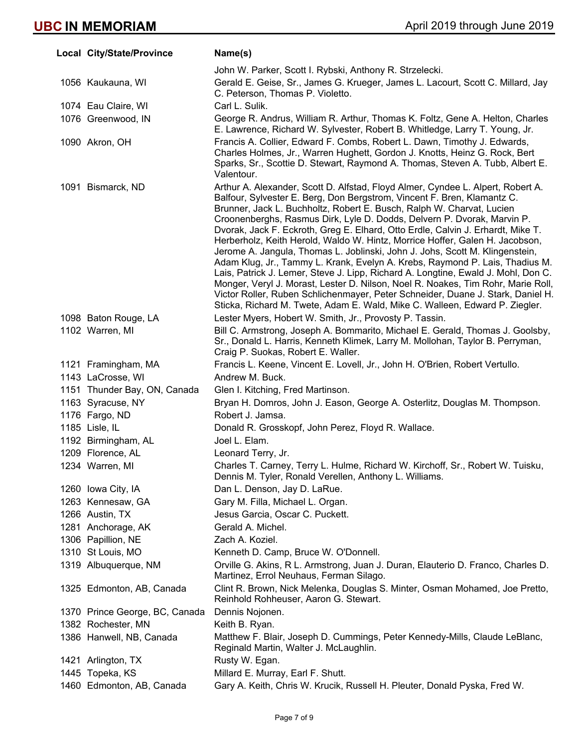| Local City/State/Province      | Name(s)                                                                                                                                                                                                                                                                                                                                                                                                                                                                                                                                                                                                                                                                                                                                                                                                                                                                                                                                                                                      |
|--------------------------------|----------------------------------------------------------------------------------------------------------------------------------------------------------------------------------------------------------------------------------------------------------------------------------------------------------------------------------------------------------------------------------------------------------------------------------------------------------------------------------------------------------------------------------------------------------------------------------------------------------------------------------------------------------------------------------------------------------------------------------------------------------------------------------------------------------------------------------------------------------------------------------------------------------------------------------------------------------------------------------------------|
|                                | John W. Parker, Scott I. Rybski, Anthony R. Strzelecki.                                                                                                                                                                                                                                                                                                                                                                                                                                                                                                                                                                                                                                                                                                                                                                                                                                                                                                                                      |
| 1056 Kaukauna, WI              | Gerald E. Geise, Sr., James G. Krueger, James L. Lacourt, Scott C. Millard, Jay<br>C. Peterson, Thomas P. Violetto.                                                                                                                                                                                                                                                                                                                                                                                                                                                                                                                                                                                                                                                                                                                                                                                                                                                                          |
| 1074 Eau Claire, WI            | Carl L. Sulik.                                                                                                                                                                                                                                                                                                                                                                                                                                                                                                                                                                                                                                                                                                                                                                                                                                                                                                                                                                               |
| 1076 Greenwood, IN             | George R. Andrus, William R. Arthur, Thomas K. Foltz, Gene A. Helton, Charles<br>E. Lawrence, Richard W. Sylvester, Robert B. Whitledge, Larry T. Young, Jr.                                                                                                                                                                                                                                                                                                                                                                                                                                                                                                                                                                                                                                                                                                                                                                                                                                 |
| 1090 Akron, OH                 | Francis A. Collier, Edward F. Combs, Robert L. Dawn, Timothy J. Edwards,<br>Charles Holmes, Jr., Warren Hughett, Gordon J. Knotts, Heinz G. Rock, Bert<br>Sparks, Sr., Scottie D. Stewart, Raymond A. Thomas, Steven A. Tubb, Albert E.<br>Valentour.                                                                                                                                                                                                                                                                                                                                                                                                                                                                                                                                                                                                                                                                                                                                        |
| 1091 Bismarck, ND              | Arthur A. Alexander, Scott D. Alfstad, Floyd Almer, Cyndee L. Alpert, Robert A.<br>Balfour, Sylvester E. Berg, Don Bergstrom, Vincent F. Bren, Klamantz C.<br>Brunner, Jack L. Buchholtz, Robert E. Busch, Ralph W. Charvat, Lucien<br>Croonenberghs, Rasmus Dirk, Lyle D. Dodds, Delvern P. Dvorak, Marvin P.<br>Dvorak, Jack F. Eckroth, Greg E. Elhard, Otto Erdle, Calvin J. Erhardt, Mike T.<br>Herberholz, Keith Herold, Waldo W. Hintz, Morrice Hoffer, Galen H. Jacobson,<br>Jerome A. Jangula, Thomas L. Joblinski, John J. Johs, Scott M. Klingenstein,<br>Adam Klug, Jr., Tammy L. Krank, Evelyn A. Krebs, Raymond P. Lais, Thadius M.<br>Lais, Patrick J. Lemer, Steve J. Lipp, Richard A. Longtine, Ewald J. Mohl, Don C.<br>Monger, Veryl J. Morast, Lester D. Nilson, Noel R. Noakes, Tim Rohr, Marie Roll,<br>Victor Roller, Ruben Schlichenmayer, Peter Schneider, Duane J. Stark, Daniel H.<br>Sticka, Richard M. Twete, Adam E. Wald, Mike C. Walleen, Edward P. Ziegler. |
| 1098 Baton Rouge, LA           | Lester Myers, Hobert W. Smith, Jr., Provosty P. Tassin.                                                                                                                                                                                                                                                                                                                                                                                                                                                                                                                                                                                                                                                                                                                                                                                                                                                                                                                                      |
| 1102 Warren, MI                | Bill C. Armstrong, Joseph A. Bommarito, Michael E. Gerald, Thomas J. Goolsby,<br>Sr., Donald L. Harris, Kenneth Klimek, Larry M. Mollohan, Taylor B. Perryman,<br>Craig P. Suokas, Robert E. Waller.                                                                                                                                                                                                                                                                                                                                                                                                                                                                                                                                                                                                                                                                                                                                                                                         |
| 1121 Framingham, MA            | Francis L. Keene, Vincent E. Lovell, Jr., John H. O'Brien, Robert Vertullo.                                                                                                                                                                                                                                                                                                                                                                                                                                                                                                                                                                                                                                                                                                                                                                                                                                                                                                                  |
| 1143 LaCrosse, WI              | Andrew M. Buck.                                                                                                                                                                                                                                                                                                                                                                                                                                                                                                                                                                                                                                                                                                                                                                                                                                                                                                                                                                              |
| 1151 Thunder Bay, ON, Canada   | Glen I. Kitching, Fred Martinson.                                                                                                                                                                                                                                                                                                                                                                                                                                                                                                                                                                                                                                                                                                                                                                                                                                                                                                                                                            |
| 1163 Syracuse, NY              | Bryan H. Domros, John J. Eason, George A. Osterlitz, Douglas M. Thompson.                                                                                                                                                                                                                                                                                                                                                                                                                                                                                                                                                                                                                                                                                                                                                                                                                                                                                                                    |
| 1176 Fargo, ND                 | Robert J. Jamsa.                                                                                                                                                                                                                                                                                                                                                                                                                                                                                                                                                                                                                                                                                                                                                                                                                                                                                                                                                                             |
| 1185 Lisle, IL                 | Donald R. Grosskopf, John Perez, Floyd R. Wallace.                                                                                                                                                                                                                                                                                                                                                                                                                                                                                                                                                                                                                                                                                                                                                                                                                                                                                                                                           |
| 1192 Birmingham, AL            | Joel L. Elam.                                                                                                                                                                                                                                                                                                                                                                                                                                                                                                                                                                                                                                                                                                                                                                                                                                                                                                                                                                                |
| 1209 Florence, AL              | Leonard Terry, Jr.                                                                                                                                                                                                                                                                                                                                                                                                                                                                                                                                                                                                                                                                                                                                                                                                                                                                                                                                                                           |
| 1234 Warren, MI                | Charles T. Carney, Terry L. Hulme, Richard W. Kirchoff, Sr., Robert W. Tuisku,<br>Dennis M. Tyler, Ronald Verellen, Anthony L. Williams.                                                                                                                                                                                                                                                                                                                                                                                                                                                                                                                                                                                                                                                                                                                                                                                                                                                     |
| 1260 Iowa City, IA             | Dan L. Denson, Jay D. LaRue.                                                                                                                                                                                                                                                                                                                                                                                                                                                                                                                                                                                                                                                                                                                                                                                                                                                                                                                                                                 |
| 1263 Kennesaw, GA              | Gary M. Filla, Michael L. Organ.                                                                                                                                                                                                                                                                                                                                                                                                                                                                                                                                                                                                                                                                                                                                                                                                                                                                                                                                                             |
| 1266 Austin, TX                | Jesus Garcia, Oscar C. Puckett.                                                                                                                                                                                                                                                                                                                                                                                                                                                                                                                                                                                                                                                                                                                                                                                                                                                                                                                                                              |
| 1281 Anchorage, AK             | Gerald A. Michel.                                                                                                                                                                                                                                                                                                                                                                                                                                                                                                                                                                                                                                                                                                                                                                                                                                                                                                                                                                            |
| 1306 Papillion, NE             | Zach A. Koziel.                                                                                                                                                                                                                                                                                                                                                                                                                                                                                                                                                                                                                                                                                                                                                                                                                                                                                                                                                                              |
| 1310 St Louis, MO              | Kenneth D. Camp, Bruce W. O'Donnell.                                                                                                                                                                                                                                                                                                                                                                                                                                                                                                                                                                                                                                                                                                                                                                                                                                                                                                                                                         |
| 1319 Albuquerque, NM           | Orville G. Akins, R L. Armstrong, Juan J. Duran, Elauterio D. Franco, Charles D.<br>Martinez, Errol Neuhaus, Ferman Silago.                                                                                                                                                                                                                                                                                                                                                                                                                                                                                                                                                                                                                                                                                                                                                                                                                                                                  |
| 1325 Edmonton, AB, Canada      | Clint R. Brown, Nick Melenka, Douglas S. Minter, Osman Mohamed, Joe Pretto,<br>Reinhold Rohheuser, Aaron G. Stewart.                                                                                                                                                                                                                                                                                                                                                                                                                                                                                                                                                                                                                                                                                                                                                                                                                                                                         |
| 1370 Prince George, BC, Canada | Dennis Nojonen.                                                                                                                                                                                                                                                                                                                                                                                                                                                                                                                                                                                                                                                                                                                                                                                                                                                                                                                                                                              |
| 1382 Rochester, MN             | Keith B. Ryan.                                                                                                                                                                                                                                                                                                                                                                                                                                                                                                                                                                                                                                                                                                                                                                                                                                                                                                                                                                               |
| 1386 Hanwell, NB, Canada       | Matthew F. Blair, Joseph D. Cummings, Peter Kennedy-Mills, Claude LeBlanc,<br>Reginald Martin, Walter J. McLaughlin.                                                                                                                                                                                                                                                                                                                                                                                                                                                                                                                                                                                                                                                                                                                                                                                                                                                                         |
| 1421 Arlington, TX             | Rusty W. Egan.                                                                                                                                                                                                                                                                                                                                                                                                                                                                                                                                                                                                                                                                                                                                                                                                                                                                                                                                                                               |
| 1445 Topeka, KS                | Millard E. Murray, Earl F. Shutt.                                                                                                                                                                                                                                                                                                                                                                                                                                                                                                                                                                                                                                                                                                                                                                                                                                                                                                                                                            |
| 1460 Edmonton, AB, Canada      | Gary A. Keith, Chris W. Krucik, Russell H. Pleuter, Donald Pyska, Fred W.                                                                                                                                                                                                                                                                                                                                                                                                                                                                                                                                                                                                                                                                                                                                                                                                                                                                                                                    |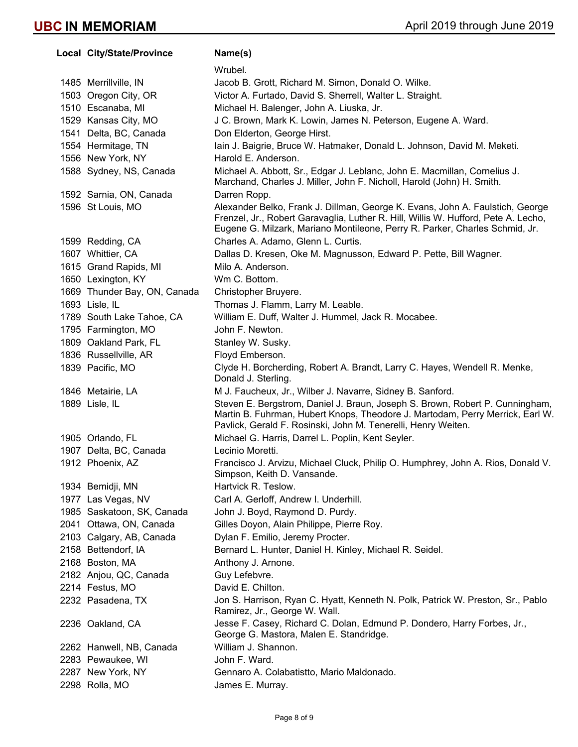**Local City/State/Province Mame(s)** Wrubel. 1485 Merrillville, IN Jacob B. Grott, Richard M. Simon, Donald O. Wilke. 1503 Oregon City, OR Victor A. Furtado, David S. Sherrell, Walter L. Straight. 1510 Escanaba, MI Michael H. Balenger, John A. Liuska, Jr. 1529 Kansas City, MO J C. Brown, Mark K. Lowin, James N. Peterson, Eugene A. Ward. 1541 Delta, BC, Canada Don Elderton, George Hirst. 1554 Hermitage, TN Iain J. Baigrie, Bruce W. Hatmaker, Donald L. Johnson, David M. Meketi. 1556 New York, NY Harold E. Anderson. 1588 Sydney, NS, Canada Michael A. Abbott, Sr., Edgar J. Leblanc, John E. Macmillan, Cornelius J. Marchand, Charles J. Miller, John F. Nicholl, Harold (John) H. Smith. 1592 Sarnia, ON, Canada Darren Ropp. 1596 St Louis, MO Alexander Belko, Frank J. Dillman, George K. Evans, John A. Faulstich, George Frenzel, Jr., Robert Garavaglia, Luther R. Hill, Willis W. Hufford, Pete A. Lecho, Eugene G. Milzark, Mariano Montileone, Perry R. Parker, Charles Schmid, Jr. 1599 Redding, CA Charles A. Adamo, Glenn L. Curtis. 1607 Whittier, CA Dallas D. Kresen, Oke M. Magnusson, Edward P. Pette, Bill Wagner. 1615 Grand Rapids, MI Milo A. Anderson. 1650 Lexington, KY Wm C. Bottom. 1669 Thunder Bay, ON, Canada Christopher Bruyere. 1693 Lisle, IL **Thomas J. Flamm, Larry M. Leable.** 1789 South Lake Tahoe, CA William E. Duff, Walter J. Hummel, Jack R. Mocabee. 1795 Farmington, MO John F. Newton. 1809 Oakland Park, FL Stanley W. Susky. 1836 Russellville, AR Floyd Emberson. 1839 Pacific, MO Clyde H. Borcherding, Robert A. Brandt, Larry C. Hayes, Wendell R. Menke, Donald J. Sterling. 1846 Metairie, LA M J. Faucheux, Jr., Wilber J. Navarre, Sidney B. Sanford. 1889 Lisle, IL Steven E. Bergstrom, Daniel J. Braun, Joseph S. Brown, Robert P. Cunningham, Martin B. Fuhrman, Hubert Knops, Theodore J. Martodam, Perry Merrick, Earl W. Pavlick, Gerald F. Rosinski, John M. Tenerelli, Henry Weiten. 1905 Orlando, FL Michael G. Harris, Darrel L. Poplin, Kent Seyler. 1907 Delta, BC, Canada Lecinio Moretti. 1912 Phoenix, AZ Francisco J. Arvizu, Michael Cluck, Philip O. Humphrey, John A. Rios, Donald V. Simpson, Keith D. Vansande. 1934 Bemidji, MN Hartvick R. Teslow. 1977 Las Vegas, NV Carl A. Gerloff, Andrew I. Underhill. 1985 Saskatoon, SK, Canada John J. Boyd, Raymond D. Purdy. 2041 Ottawa, ON, Canada Gilles Doyon, Alain Philippe, Pierre Roy. 2103 Calgary, AB, Canada Dylan F. Emilio, Jeremy Procter. 2158 Bettendorf, IA Bernard L. Hunter, Daniel H. Kinley, Michael R. Seidel. 2168 Boston, MA Anthony J. Arnone. 2182 Anjou, QC, Canada Guy Lefebvre. 2214 Festus, MO David E. Chilton. 2232 Pasadena, TX Jon S. Harrison, Ryan C. Hyatt, Kenneth N. Polk, Patrick W. Preston, Sr., Pablo Ramirez, Jr., George W. Wall. 2236 Oakland, CA Jesse F. Casey, Richard C. Dolan, Edmund P. Dondero, Harry Forbes, Jr., George G. Mastora, Malen E. Standridge. 2262 Hanwell, NB, Canada William J. Shannon. 2283 Pewaukee, WI John F. Ward. 2287 New York, NY Gennaro A. Colabatistto, Mario Maldonado. 2298 Rolla, MO James E. Murray.